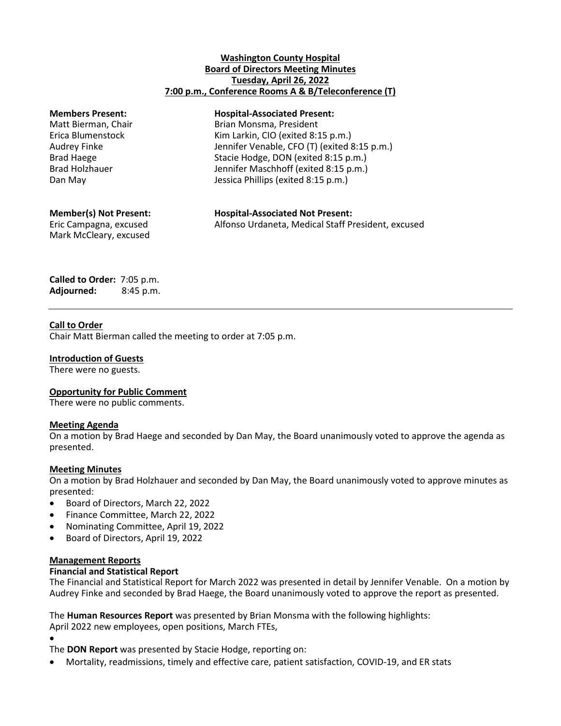## **Washington County Hospital Board of Directors Meeting Minutes Tuesday, April 26, 2022 7:00 p.m., Conference Rooms A & B/Teleconference (T)**

#### **Members Present: Hospital-Associated Present:**

Matt Bierman, Chair Brian Monsma, President Erica Blumenstock Kim Larkin, CIO (exited 8:15 p.m.) Audrey Finke Jennifer Venable, CFO (T) (exited 8:15 p.m.) Brad Haege Stacie Hodge, DON (exited 8:15 p.m.) Brad Holzhauer Jennifer Maschhoff (exited 8:15 p.m.) Dan May **Dan May** Jessica Phillips (exited 8:15 p.m.)

Mark McCleary, excused

**Member(s) Not Present: Hospital-Associated Not Present:** Eric Campagna, excused Alfonso Urdaneta, Medical Staff President, excused

**Called to Order:** 7:05 p.m. **Adjourned:** 8:45 p.m.

## **Call to Order**

Chair Matt Bierman called the meeting to order at 7:05 p.m.

### **Introduction of Guests**

There were no guests.

# **Opportunity for Public Comment**

There were no public comments.

### **Meeting Agenda**

On a motion by Brad Haege and seconded by Dan May, the Board unanimously voted to approve the agenda as presented.

### **Meeting Minutes**

On a motion by Brad Holzhauer and seconded by Dan May, the Board unanimously voted to approve minutes as presented:

- Board of Directors, March 22, 2022
- Finance Committee, March 22, 2022
- Nominating Committee, April 19, 2022
- Board of Directors, April 19, 2022

### **Management Reports**

### **Financial and Statistical Report**

The Financial and Statistical Report for March 2022 was presented in detail by Jennifer Venable. On a motion by Audrey Finke and seconded by Brad Haege, the Board unanimously voted to approve the report as presented.

The **Human Resources Report** was presented by Brian Monsma with the following highlights: April 2022 new employees, open positions, March FTEs,

- $\bullet$
- The **DON Report** was presented by Stacie Hodge, reporting on:
- Mortality, readmissions, timely and effective care, patient satisfaction, COVID-19, and ER stats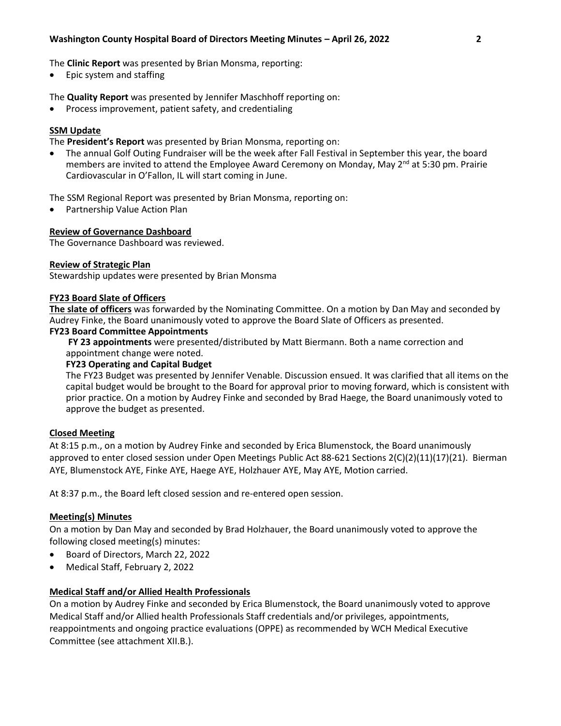The **Clinic Report** was presented by Brian Monsma, reporting:

Epic system and staffing

The **Quality Report** was presented by Jennifer Maschhoff reporting on:

Process improvement, patient safety, and credentialing

## **SSM Update**

The **President's Report** was presented by Brian Monsma, reporting on:

 The annual Golf Outing Fundraiser will be the week after Fall Festival in September this year, the board members are invited to attend the Employee Award Ceremony on Monday, May  $2^{nd}$  at 5:30 pm. Prairie Cardiovascular in O'Fallon, IL will start coming in June.

The SSM Regional Report was presented by Brian Monsma, reporting on:

Partnership Value Action Plan

### **Review of Governance Dashboard**

The Governance Dashboard was reviewed.

### **Review of Strategic Plan**

Stewardship updates were presented by Brian Monsma

#### **FY23 Board Slate of Officers**

**The slate of officers** was forwarded by the Nominating Committee. On a motion by Dan May and seconded by Audrey Finke, the Board unanimously voted to approve the Board Slate of Officers as presented.

#### **FY23 Board Committee Appointments**

**FY 23 appointments** were presented/distributed by Matt Biermann. Both a name correction and appointment change were noted.

#### **FY23 Operating and Capital Budget**

The FY23 Budget was presented by Jennifer Venable. Discussion ensued. It was clarified that all items on the capital budget would be brought to the Board for approval prior to moving forward, which is consistent with prior practice. On a motion by Audrey Finke and seconded by Brad Haege, the Board unanimously voted to approve the budget as presented.

### **Closed Meeting**

At 8:15 p.m., on a motion by Audrey Finke and seconded by Erica Blumenstock, the Board unanimously approved to enter closed session under Open Meetings Public Act 88-621 Sections 2(C)(2)(11)(17)(21). Bierman AYE, Blumenstock AYE, Finke AYE, Haege AYE, Holzhauer AYE, May AYE, Motion carried.

At 8:37 p.m., the Board left closed session and re-entered open session.

### **Meeting(s) Minutes**

On a motion by Dan May and seconded by Brad Holzhauer, the Board unanimously voted to approve the following closed meeting(s) minutes:

- Board of Directors, March 22, 2022
- Medical Staff, February 2, 2022

# **Medical Staff and/or Allied Health Professionals**

On a motion by Audrey Finke and seconded by Erica Blumenstock, the Board unanimously voted to approve Medical Staff and/or Allied health Professionals Staff credentials and/or privileges, appointments, reappointments and ongoing practice evaluations (OPPE) as recommended by WCH Medical Executive Committee (see attachment XII.B.).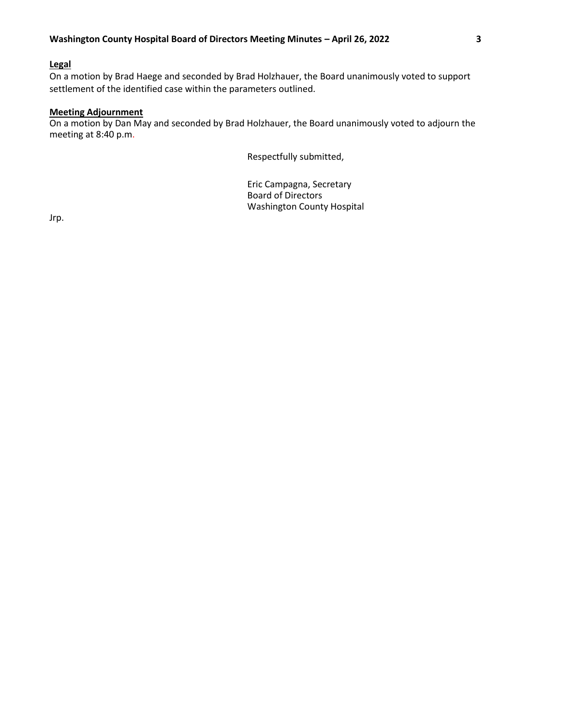## **Legal**

On a motion by Brad Haege and seconded by Brad Holzhauer, the Board unanimously voted to support settlement of the identified case within the parameters outlined.

## **Meeting Adjournment**

On a motion by Dan May and seconded by Brad Holzhauer, the Board unanimously voted to adjourn the meeting at 8:40 p.m.

Respectfully submitted,

Eric Campagna, Secretary Board of Directors Washington County Hospital

Jrp.